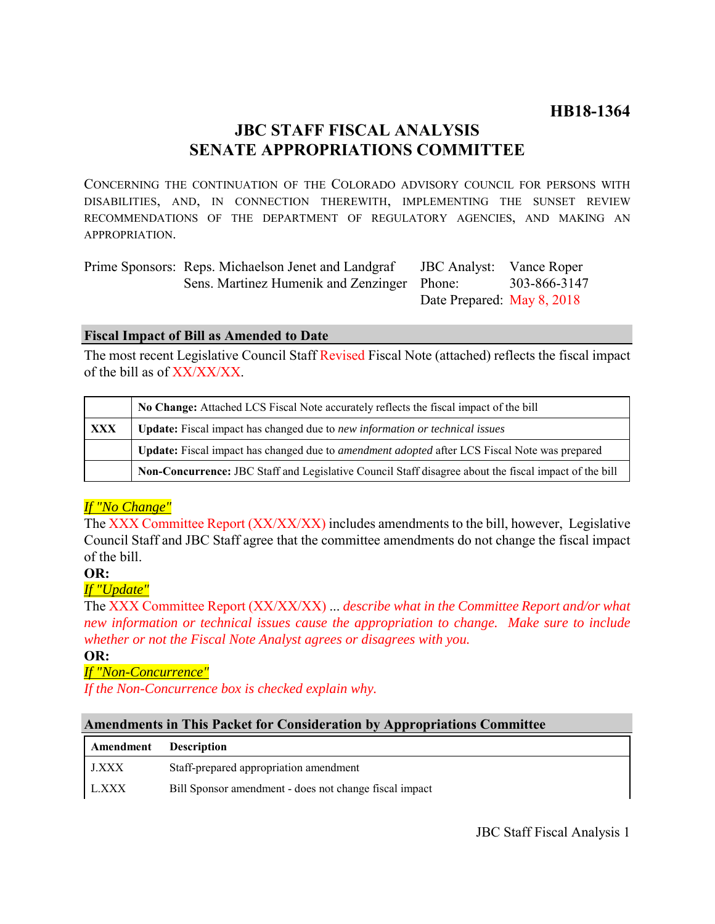# **JBC STAFF FISCAL ANALYSIS SENATE APPROPRIATIONS COMMITTEE**

CONCERNING THE CONTINUATION OF THE COLORADO ADVISORY COUNCIL FOR PERSONS WITH DISABILITIES, AND, IN CONNECTION THEREWITH, IMPLEMENTING THE SUNSET REVIEW RECOMMENDATIONS OF THE DEPARTMENT OF REGULATORY AGENCIES, AND MAKING AN APPROPRIATION.

| Prime Sponsors: Reps. Michaelson Jenet and Landgraf | <b>JBC</b> Analyst: Vance Roper |              |
|-----------------------------------------------------|---------------------------------|--------------|
| Sens. Martinez Humenik and Zenzinger Phone:         |                                 | 303-866-3147 |
|                                                     | Date Prepared: May 8, 2018      |              |

### **Fiscal Impact of Bill as Amended to Date**

The most recent Legislative Council Staff Revised Fiscal Note (attached) reflects the fiscal impact of the bill as of XX/XX/XX.

|     | No Change: Attached LCS Fiscal Note accurately reflects the fiscal impact of the bill                       |  |
|-----|-------------------------------------------------------------------------------------------------------------|--|
| XXX | <b>Update:</b> Fiscal impact has changed due to new information or technical issues                         |  |
|     | <b>Update:</b> Fiscal impact has changed due to <i>amendment adopted</i> after LCS Fiscal Note was prepared |  |
|     | Non-Concurrence: JBC Staff and Legislative Council Staff disagree about the fiscal impact of the bill       |  |

## *If "No Change"*

The XXX Committee Report (XX/XX/XX) includes amendments to the bill, however, Legislative Council Staff and JBC Staff agree that the committee amendments do not change the fiscal impact of the bill.

### **OR:**

## *If "Update"*

The XXX Committee Report (XX/XX/XX) ... *describe what in the Committee Report and/or what new information or technical issues cause the appropriation to change. Make sure to include whether or not the Fiscal Note Analyst agrees or disagrees with you.*

### **OR:**

*If "Non-Concurrence"*

*If the Non-Concurrence box is checked explain why.* 

### **Amendments in This Packet for Consideration by Appropriations Committee**

| Amendment | <b>Description</b>                                     |  |
|-----------|--------------------------------------------------------|--|
| J.XXX     | Staff-prepared appropriation amendment                 |  |
| L.XXX     | Bill Sponsor amendment - does not change fiscal impact |  |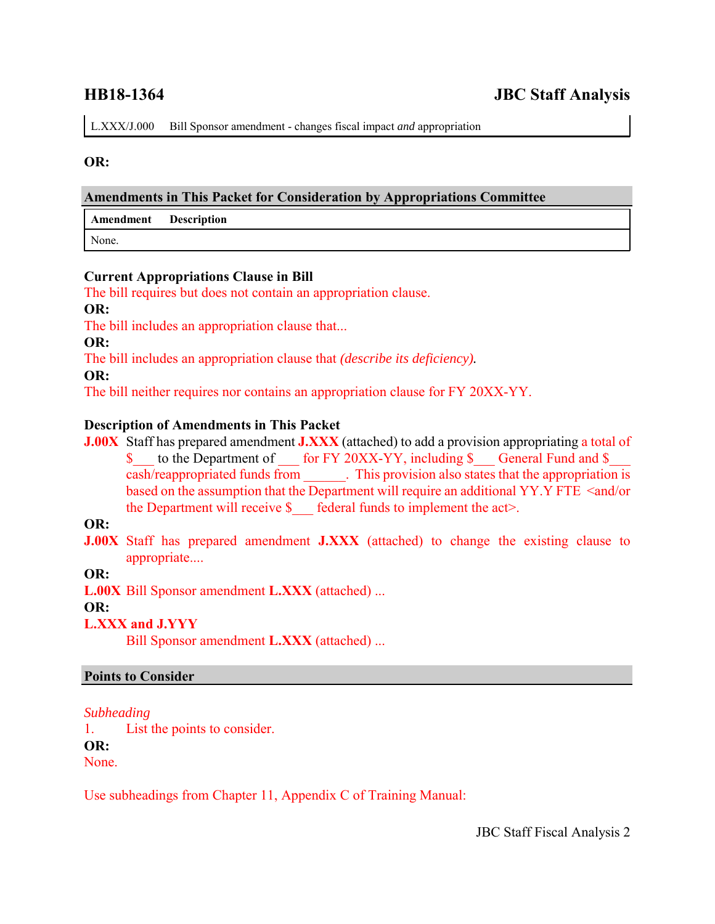L.XXX/J.000 Bill Sponsor amendment - changes fiscal impact *and* appropriation

#### **OR:**

#### **Amendments in This Packet for Consideration by Appropriations Committee**

| Amendment Description |  |
|-----------------------|--|
| None.                 |  |

#### **Current Appropriations Clause in Bill**

The bill requires but does not contain an appropriation clause.

**OR:**

The bill includes an appropriation clause that...

**OR:**

The bill includes an appropriation clause that *(describe its deficiency).*

**OR:**

The bill neither requires nor contains an appropriation clause for FY 20XX-YY.

### **Description of Amendments in This Packet**

**J.00X** Staff has prepared amendment **J.XXX** (attached) to add a provision appropriating a total of \$ to the Department of for FY 20XX-YY, including \$ General Fund and \$ cash/reappropriated funds from . This provision also states that the appropriation is based on the assumption that the Department will require an additional YY.Y FTE <and/or the Department will receive  $\$  federal funds to implement the act>.

### **OR:**

**J.00X** Staff has prepared amendment **J.XXX** (attached) to change the existing clause to appropriate....

**OR:**

**L.00X** Bill Sponsor amendment **L.XXX** (attached) ...

#### **OR:**

**L.XXX and J.YYY**

Bill Sponsor amendment **L.XXX** (attached) ...

### **Points to Consider**

*Subheading*

1. List the points to consider.

**OR:**

None.

Use subheadings from Chapter 11, Appendix C of Training Manual: